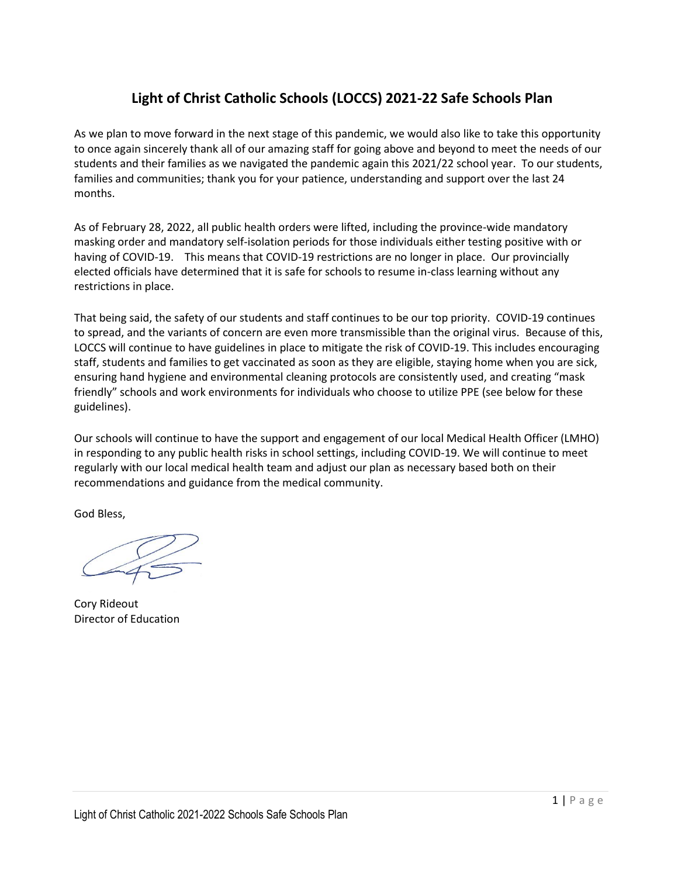### **Light of Christ Catholic Schools (LOCCS) 2021-22 Safe Schools Plan**

As we plan to move forward in the next stage of this pandemic, we would also like to take this opportunity to once again sincerely thank all of our amazing staff for going above and beyond to meet the needs of our students and their families as we navigated the pandemic again this 2021/22 school year. To our students, families and communities; thank you for your patience, understanding and support over the last 24 months.

As of February 28, 2022, all public health orders were lifted, including the province-wide mandatory masking order and mandatory self-isolation periods for those individuals either testing positive with or having of COVID-19. This means that COVID-19 restrictions are no longer in place. Our provincially elected officials have determined that it is safe for schools to resume in-class learning without any restrictions in place.

That being said, the safety of our students and staff continues to be our top priority. COVID-19 continues to spread, and the variants of concern are even more transmissible than the original virus. Because of this, LOCCS will continue to have guidelines in place to mitigate the risk of COVID-19. This includes encouraging staff, students and families to get vaccinated as soon as they are eligible, staying home when you are sick, ensuring hand hygiene and environmental cleaning protocols are consistently used, and creating "mask friendly" schools and work environments for individuals who choose to utilize PPE (see below for these guidelines).

Our schools will continue to have the support and engagement of our local Medical Health Officer (LMHO) in responding to any public health risks in school settings, including COVID-19. We will continue to meet regularly with our local medical health team and adjust our plan as necessary based both on their recommendations and guidance from the medical community.

God Bless,

Cory Rideout Director of Education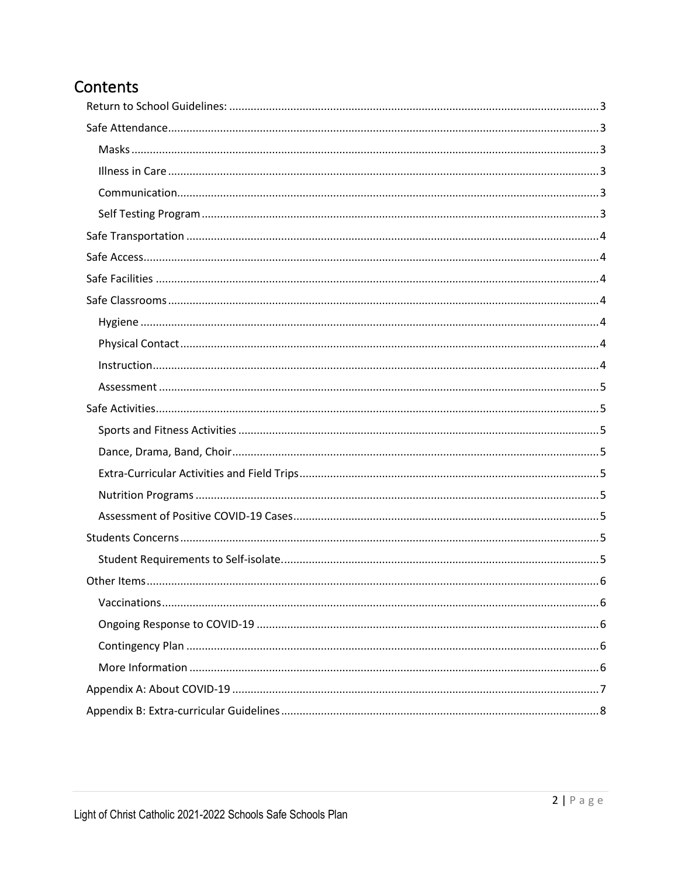# Contents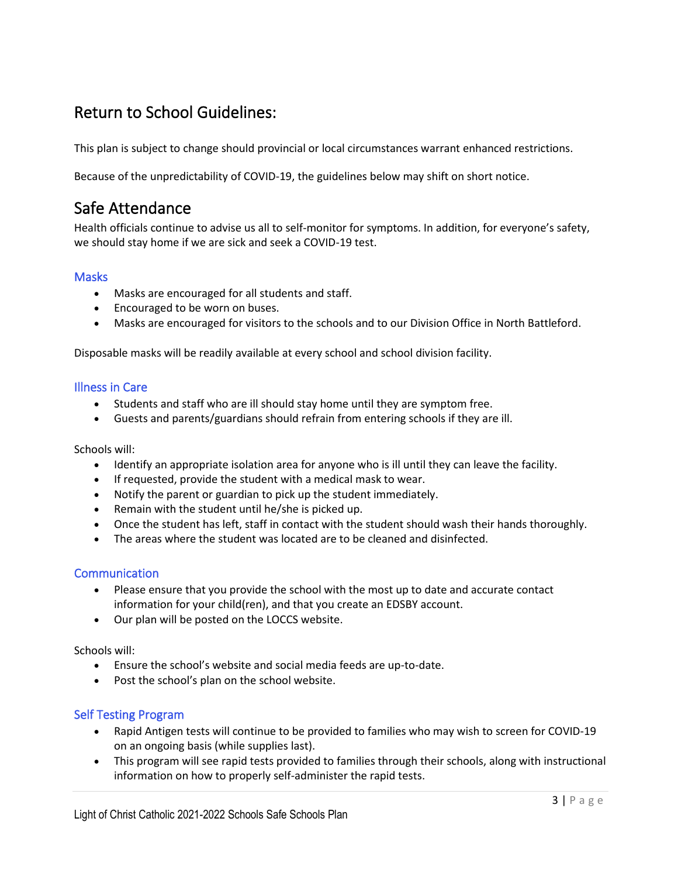### <span id="page-2-0"></span>Return to School Guidelines:

This plan is subject to change should provincial or local circumstances warrant enhanced restrictions.

Because of the unpredictability of COVID-19, the guidelines below may shift on short notice.

## <span id="page-2-1"></span>Safe Attendance

Health officials continue to advise us all to self-monitor for symptoms. In addition, for everyone's safety, we should stay home if we are sick and seek a COVID-19 test.

#### <span id="page-2-2"></span>**Masks**

- Masks are encouraged for all students and staff.
- Encouraged to be worn on buses.
- Masks are encouraged for visitors to the schools and to our Division Office in North Battleford.

Disposable masks will be readily available at every school and school division facility.

#### <span id="page-2-3"></span>Illness in Care

- Students and staff who are ill should stay home until they are symptom free.
- Guests and parents/guardians should refrain from entering schools if they are ill.

#### Schools will:

- Identify an appropriate isolation area for anyone who is ill until they can leave the facility.
- If requested, provide the student with a medical mask to wear.
- Notify the parent or guardian to pick up the student immediately.
- Remain with the student until he/she is picked up.
- Once the student has left, staff in contact with the student should wash their hands thoroughly.
- The areas where the student was located are to be cleaned and disinfected.

#### <span id="page-2-4"></span>**Communication**

- Please ensure that you provide the school with the most up to date and accurate contact information for your child(ren), and that you create an EDSBY account.
- Our plan will be posted on the LOCCS website.

Schools will:

- Ensure the school's website and social media feeds are up-to-date.
- Post the school's plan on the school website.

#### <span id="page-2-5"></span>Self Testing Program

- Rapid Antigen tests will continue to be provided to families who may wish to screen for COVID-19 on an ongoing basis (while supplies last).
- This program will see rapid tests provided to families through their schools, along with instructional information on how to properly self-administer the rapid tests.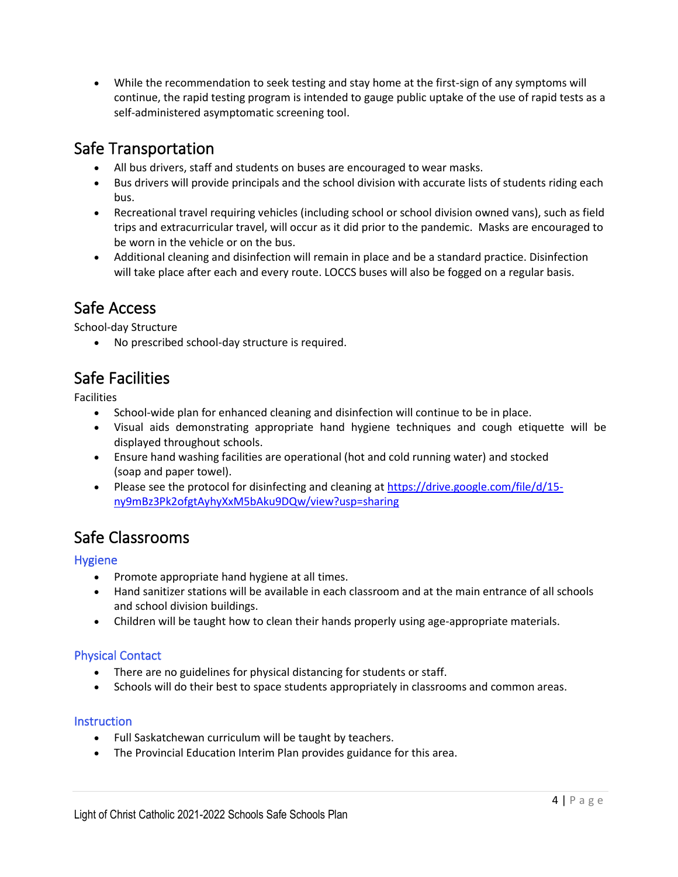• While the recommendation to seek testing and stay home at the first-sign of any symptoms will continue, the rapid testing program is intended to gauge public uptake of the use of rapid tests as a self-administered asymptomatic screening tool.

### <span id="page-3-0"></span>Safe Transportation

- All bus drivers, staff and students on buses are encouraged to wear masks.
- Bus drivers will provide principals and the school division with accurate lists of students riding each bus.
- Recreational travel requiring vehicles (including school or school division owned vans), such as field trips and extracurricular travel, will occur as it did prior to the pandemic. Masks are encouraged to be worn in the vehicle or on the bus.
- Additional cleaning and disinfection will remain in place and be a standard practice. Disinfection will take place after each and every route. LOCCS buses will also be fogged on a regular basis.

## <span id="page-3-1"></span>Safe Access

School-day Structure

• No prescribed school-day structure is required.

## <span id="page-3-2"></span>Safe Facilities

Facilities

- School-wide plan for enhanced cleaning and disinfection will continue to be in place.
- Visual aids demonstrating appropriate hand hygiene techniques and cough etiquette will be displayed throughout schools.
- Ensure hand washing facilities are operational (hot and cold running water) and stocked (soap and paper towel).
- Please see the protocol for disinfecting and cleaning a[t https://drive.google.com/file/d/15](https://drive.google.com/file/d/15-ny9mBz3Pk2ofgtAyhyXxM5bAku9DQw/view?usp=sharing) [ny9mBz3Pk2ofgtAyhyXxM5bAku9DQw/view?usp=sharing](https://drive.google.com/file/d/15-ny9mBz3Pk2ofgtAyhyXxM5bAku9DQw/view?usp=sharing)

## <span id="page-3-3"></span>Safe Classrooms

### <span id="page-3-4"></span>Hygiene

- Promote appropriate hand hygiene at all times.
- Hand sanitizer stations will be available in each classroom and at the main entrance of all schools and school division buildings.
- Children will be taught how to clean their hands properly using age-appropriate materials.

### <span id="page-3-5"></span>Physical Contact

- There are no guidelines for physical distancing for students or staff.
- Schools will do their best to space students appropriately in classrooms and common areas.

#### <span id="page-3-6"></span>**Instruction**

- Full Saskatchewan curriculum will be taught by teachers.
- The Provincial Education Interim Plan provides guidance for this area.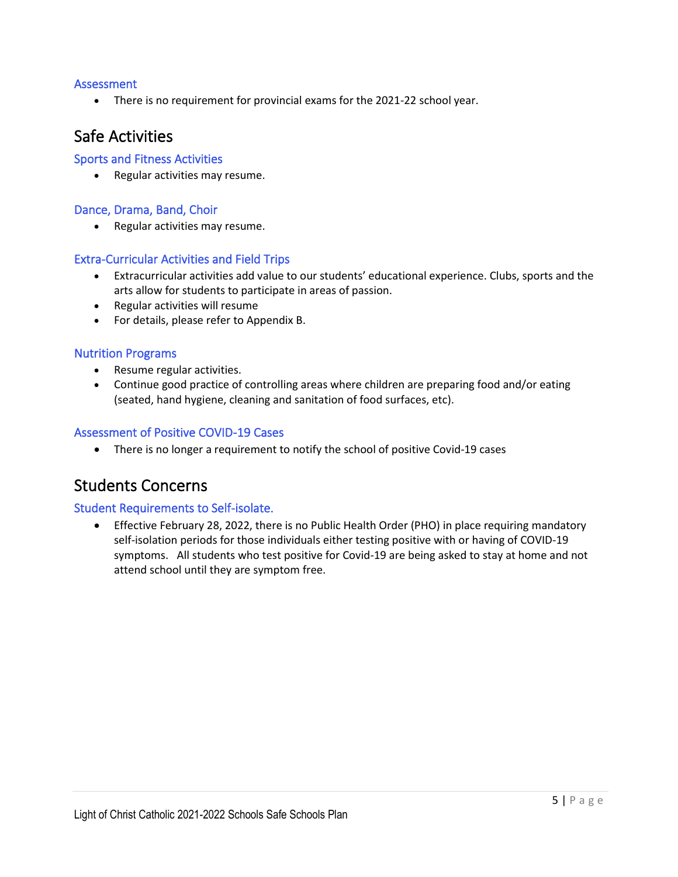#### <span id="page-4-0"></span>Assessment

• There is no requirement for provincial exams for the 2021-22 school year.

### <span id="page-4-1"></span>Safe Activities

#### <span id="page-4-2"></span>Sports and Fitness Activities

• Regular activities may resume.

#### <span id="page-4-3"></span>Dance, Drama, Band, Choir

• Regular activities may resume.

#### <span id="page-4-4"></span>Extra-Curricular Activities and Field Trips

- Extracurricular activities add value to our students' educational experience. Clubs, sports and the arts allow for students to participate in areas of passion.
- Regular activities will resume
- For details, please refer to Appendix B.

#### <span id="page-4-5"></span>Nutrition Programs

- Resume regular activities.
- Continue good practice of controlling areas where children are preparing food and/or eating (seated, hand hygiene, cleaning and sanitation of food surfaces, etc).

#### <span id="page-4-6"></span>Assessment of Positive COVID-19 Cases

• There is no longer a requirement to notify the school of positive Covid-19 cases

### <span id="page-4-7"></span>Students Concerns

#### <span id="page-4-8"></span>Student Requirements to Self-isolate.

• Effective February 28, 2022, there is no Public Health Order (PHO) in place requiring mandatory self-isolation periods for those individuals either testing positive with or having of COVID-19 symptoms. All students who test positive for Covid-19 are being asked to stay at home and not attend school until they are symptom free.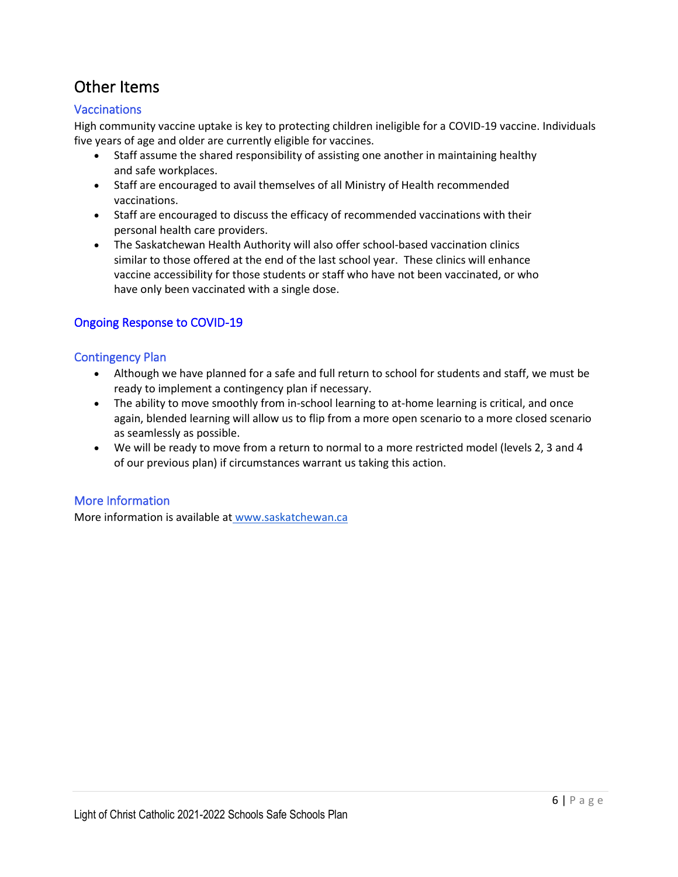# <span id="page-5-0"></span>Other Items

### <span id="page-5-1"></span>Vaccinations

High community vaccine uptake is key to protecting children ineligible for a COVID-19 vaccine. Individuals five years of age and older are currently eligible for vaccines.

- Staff assume the shared responsibility of assisting one another in maintaining healthy and safe workplaces.
- Staff are encouraged to avail themselves of all Ministry of Health recommended vaccinations.
- Staff are encouraged to discuss the efficacy of recommended vaccinations with their personal health care providers.
- The Saskatchewan Health Authority will also offer school-based vaccination clinics similar to those offered at the end of the last school year. These clinics will enhance vaccine accessibility for those students or staff who have not been vaccinated, or who have only been vaccinated with a single dose.

### <span id="page-5-2"></span>Ongoing Response to COVID-19

#### <span id="page-5-3"></span>Contingency Plan

- Although we have planned for a safe and full return to school for students and staff, we must be ready to implement a contingency plan if necessary.
- The ability to move smoothly from in-school learning to at-home learning is critical, and once again, blended learning will allow us to flip from a more open scenario to a more closed scenario as seamlessly as possible.
- We will be ready to move from a return to normal to a more restricted model (levels 2, 3 and 4 of our previous plan) if circumstances warrant us taking this action.

#### <span id="page-5-4"></span>More Information

More information is available at [www.saskatchewan.ca](http://www.saskatchewan.ca/)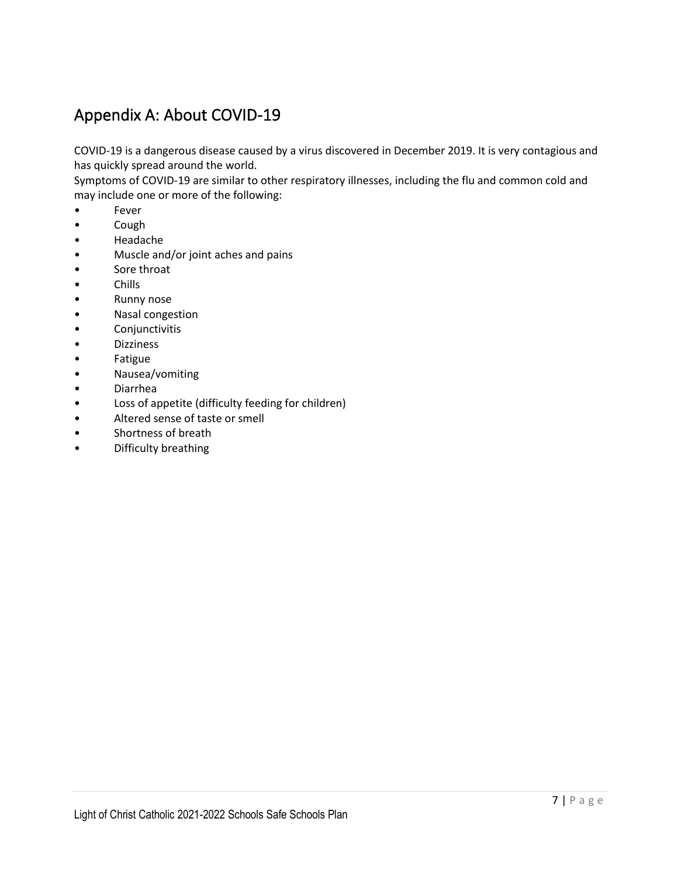# <span id="page-6-0"></span>Appendix A: About COVID-19

COVID-19 is a dangerous disease caused by a virus discovered in December 2019. It is very contagious and has quickly spread around the world.

Symptoms of COVID-19 are similar to other respiratory illnesses, including the flu and common cold and may include one or more of the following:

- Fever
- Cough
- Headache
- Muscle and/or joint aches and pains
- Sore throat
- Chills
- Runny nose
- Nasal congestion
- **Conjunctivitis**
- **Dizziness**
- Fatigue
- Nausea/vomiting
- Diarrhea
- Loss of appetite (difficulty feeding for children)
- Altered sense of taste or smell
- Shortness of breath
- Difficulty breathing